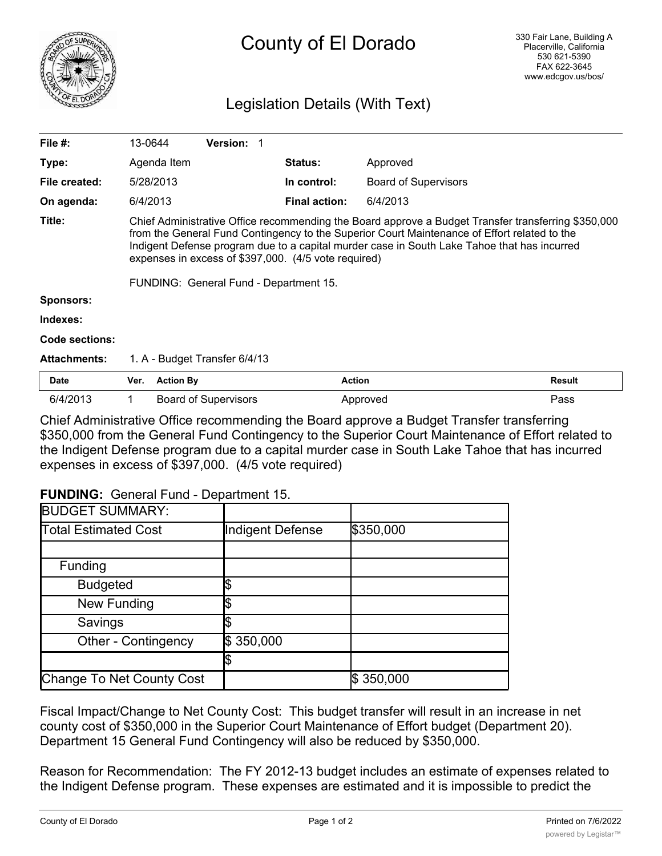

## County of El Dorado

## Legislation Details (With Text)

| File $#$ :          | 13-0644                                                                                                                                                                                                                                                                                                                                                                                              | <b>Version:</b>             |  |                      |                             |               |
|---------------------|------------------------------------------------------------------------------------------------------------------------------------------------------------------------------------------------------------------------------------------------------------------------------------------------------------------------------------------------------------------------------------------------------|-----------------------------|--|----------------------|-----------------------------|---------------|
| Type:               | Agenda Item                                                                                                                                                                                                                                                                                                                                                                                          |                             |  | <b>Status:</b>       | Approved                    |               |
| File created:       | 5/28/2013                                                                                                                                                                                                                                                                                                                                                                                            |                             |  | In control:          | <b>Board of Supervisors</b> |               |
| On agenda:          | 6/4/2013                                                                                                                                                                                                                                                                                                                                                                                             |                             |  | <b>Final action:</b> | 6/4/2013                    |               |
| Title:              | Chief Administrative Office recommending the Board approve a Budget Transfer transferring \$350,000<br>from the General Fund Contingency to the Superior Court Maintenance of Effort related to the<br>Indigent Defense program due to a capital murder case in South Lake Tahoe that has incurred<br>expenses in excess of \$397,000. (4/5 vote required)<br>FUNDING: General Fund - Department 15. |                             |  |                      |                             |               |
| <b>Sponsors:</b>    |                                                                                                                                                                                                                                                                                                                                                                                                      |                             |  |                      |                             |               |
| Indexes:            |                                                                                                                                                                                                                                                                                                                                                                                                      |                             |  |                      |                             |               |
| Code sections:      |                                                                                                                                                                                                                                                                                                                                                                                                      |                             |  |                      |                             |               |
| <b>Attachments:</b> | 1. A - Budget Transfer 6/4/13                                                                                                                                                                                                                                                                                                                                                                        |                             |  |                      |                             |               |
| <b>Date</b>         | Ver.                                                                                                                                                                                                                                                                                                                                                                                                 | <b>Action By</b>            |  | <b>Action</b>        |                             | <b>Result</b> |
| 6/4/2013            |                                                                                                                                                                                                                                                                                                                                                                                                      | <b>Board of Supervisors</b> |  |                      | Approved                    | Pass          |

Chief Administrative Office recommending the Board approve a Budget Transfer transferring \$350,000 from the General Fund Contingency to the Superior Court Maintenance of Effort related to the Indigent Defense program due to a capital murder case in South Lake Tahoe that has incurred expenses in excess of \$397,000. (4/5 vote required)

## **FUNDING:** General Fund - Department 15.

| <b>BUDGET SUMMARY:</b>      |                  |           |
|-----------------------------|------------------|-----------|
| <b>Total Estimated Cost</b> | Indigent Defense | \$350,000 |
|                             |                  |           |
| Funding                     |                  |           |
| <b>Budgeted</b>             |                  |           |
| New Funding                 |                  |           |
| Savings                     |                  |           |
| <b>Other - Contingency</b>  | \$350,000        |           |
|                             |                  |           |
| Change To Net County Cost   |                  | \$350,000 |

Fiscal Impact/Change to Net County Cost: This budget transfer will result in an increase in net county cost of \$350,000 in the Superior Court Maintenance of Effort budget (Department 20). Department 15 General Fund Contingency will also be reduced by \$350,000.

Reason for Recommendation: The FY 2012-13 budget includes an estimate of expenses related to the Indigent Defense program. These expenses are estimated and it is impossible to predict the